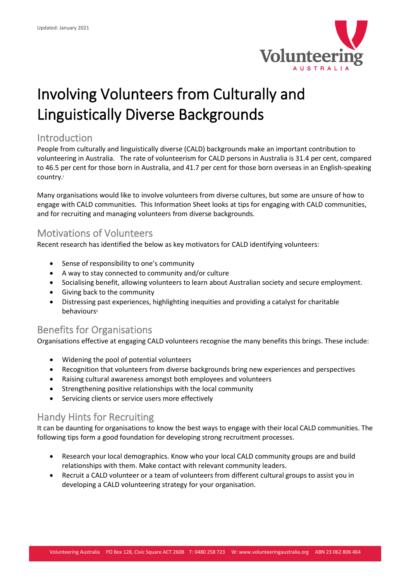

# Involving Volunteers from Culturally and Linguistically Diverse Backgrounds

#### Introduction

People from culturally and linguistically diverse (CALD) backgrounds make an important contribution to volunteering in Australia. The rate of volunteerism for CALD persons in Australia is 31.4 per cent, compared to 46.5 per cent for those born in Australia, and 41.7 per cent for those born overseas in an English-speaking country.<sup>i</sup>

Many organisations would like to involve volunteers from diverse cultures, but some are unsure of how to engage with CALD communities. This Information Sheet looks at tips for engaging with CALD communities, and for recruiting and managing volunteers from diverse backgrounds.

## Motivations of Volunteers

Recent research has identified the below as key motivators for CALD identifying volunteers:

- Sense of responsibility to one's community
- A way to stay connected to community and/or culture
- Socialising benefit, allowing volunteers to learn about Australian society and secure employment.
- Giving back to the community
- Distressing past experiences, highlighting inequities and providing a catalyst for charitable behavioursii

## Benefits for Organisations

Organisations effective at engaging CALD volunteers recognise the many benefits this brings. These include:

- Widening the pool of potential volunteers
- Recognition that volunteers from diverse backgrounds bring new experiences and perspectives
- Raising cultural awareness amongst both employees and volunteers
- Strengthening positive relationships with the local community
- Servicing clients or service users more effectively

## Handy Hints for Recruiting

It can be daunting for organisations to know the best ways to engage with their local CALD communities. The following tips form a good foundation for developing strong recruitment processes.

- Research your local demographics. Know who your local CALD community groups are and build relationships with them. Make contact with relevant community leaders.
- Recruit a CALD volunteer or a team of volunteers from different cultural groups to assist you in developing a CALD volunteering strategy for your organisation.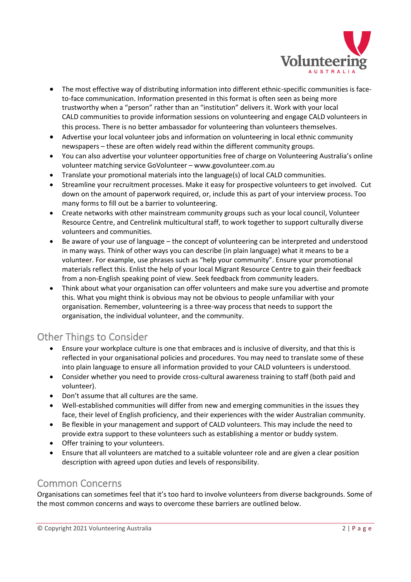

- The most effective way of distributing information into different ethnic-specific communities is faceto-face communication. Information presented in this format is often seen as being more trustworthy when a "person" rather than an "institution" delivers it. Work with your local CALD communities to provide information sessions on volunteering and engage CALD volunteers in this process. There is no better ambassador for volunteering than volunteers themselves.
- Advertise your local volunteer jobs and information on volunteering in local ethnic community newspapers – these are often widely read within the different community groups.
- You can also advertise your volunteer opportunities free of charge on Volunteering Australia's online volunteer matching service GoVolunteer – www.govolunteer.com.au
- Translate your promotional materials into the language(s) of local CALD communities.
- Streamline your recruitment processes. Make it easy for prospective volunteers to get involved. Cut down on the amount of paperwork required, or, include this as part of your interview process. Too many forms to fill out be a barrier to volunteering.
- Create networks with other mainstream community groups such as your local council, Volunteer Resource Centre, and Centrelink multicultural staff, to work together to support culturally diverse volunteers and communities.
- Be aware of your use of language the concept of volunteering can be interpreted and understood in many ways. Think of other ways you can describe (in plain language) what it means to be a volunteer. For example, use phrases such as "help your community". Ensure your promotional materials reflect this. Enlist the help of your local Migrant Resource Centre to gain their feedback from a non-English speaking point of view. Seek feedback from community leaders.
- Think about what your organisation can offer volunteers and make sure you advertise and promote this. What you might think is obvious may not be obvious to people unfamiliar with your organisation. Remember, volunteering is a three-way process that needs to support the organisation, the individual volunteer, and the community.

# Other Things to Consider

- Ensure your workplace culture is one that embraces and is inclusive of diversity, and that this is reflected in your organisational policies and procedures. You may need to translate some of these into plain language to ensure all information provided to your CALD volunteers is understood.
- Consider whether you need to provide cross-cultural awareness training to staff (both paid and volunteer).
- Don't assume that all cultures are the same.
- Well-established communities will differ from new and emerging communities in the issues they face, their level of English proficiency, and their experiences with the wider Australian community.
- Be flexible in your management and support of CALD volunteers. This may include the need to provide extra support to these volunteers such as establishing a mentor or buddy system.
- Offer training to your volunteers.
- Ensure that all volunteers are matched to a suitable volunteer role and are given a clear position description with agreed upon duties and levels of responsibility.

## Common Concerns

Organisations can sometimes feel that it's too hard to involve volunteers from diverse backgrounds. Some of the most common concerns and ways to overcome these barriers are outlined below.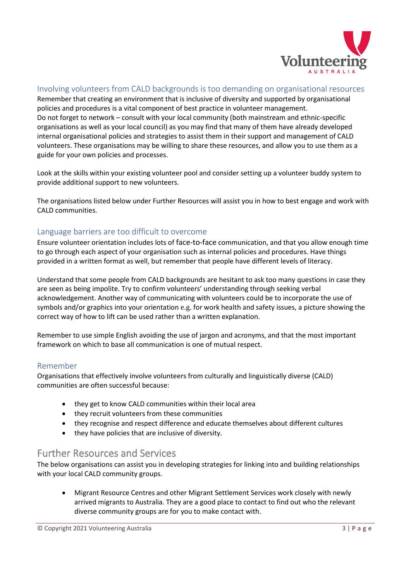

#### Involving volunteers from CALD backgrounds is too demanding on organisational resources

Remember that creating an environment that is inclusive of diversity and supported by organisational policies and procedures is a vital component of best practice in volunteer management. Do not forget to network – consult with your local community (both mainstream and ethnic-specific organisations as well as your local council) as you may find that many of them have already developed internal organisational policies and strategies to assist them in their support and management of CALD volunteers. These organisations may be willing to share these resources, and allow you to use them as a guide for your own policies and processes.

Look at the skills within your existing volunteer pool and consider setting up a volunteer buddy system to provide additional support to new volunteers.

The organisations listed below under Further Resources will assist you in how to best engage and work with CALD communities.

#### Language barriers are too difficult to overcome

Ensure volunteer orientation includes lots of face-to-face communication, and that you allow enough time to go through each aspect of your organisation such as internal policies and procedures. Have things provided in a written format as well, but remember that people have different levels of literacy.

Understand that some people from CALD backgrounds are hesitant to ask too many questions in case they are seen as being impolite. Try to confirm volunteers' understanding through seeking verbal acknowledgement. Another way of communicating with volunteers could be to incorporate the use of symbols and/or graphics into your orientation e.g. for work health and safety issues, a picture showing the correct way of how to lift can be used rather than a written explanation.

Remember to use simple English avoiding the use of jargon and acronyms, and that the most important framework on which to base all communication is one of mutual respect.

#### Remember

Organisations that effectively involve volunteers from culturally and linguistically diverse (CALD) communities are often successful because:

- they get to know CALD communities within their local area
- they recruit volunteers from these communities
- they recognise and respect difference and educate themselves about different cultures
- they have policies that are inclusive of diversity.

#### Further Resources and Services

The below organisations can assist you in developing strategies for linking into and building relationships with your local CALD community groups.

• Migrant Resource Centres and other Migrant Settlement Services work closely with newly arrived migrants to Australia. They are a good place to contact to find out who the relevant diverse community groups are for you to make contact with.